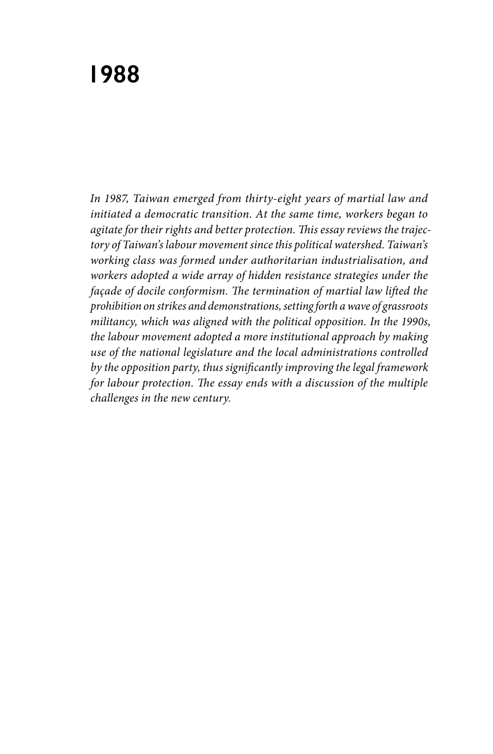## **1988**

*In 1987, Taiwan emerged from thirty-eight years of martial law and initiated a democratic transition. At the same time, workers began to agitate for their rights and better protection. This essay reviews the trajectory of Taiwan's labour movement since this political watershed. Taiwan's working class was formed under authoritarian industrialisation, and workers adopted a wide array of hidden resistance strategies under the façade of docile conformism. The termination of martial law lifted the prohibition on strikes and demonstrations, setting forth a wave of grassroots militancy, which was aligned with the political opposition. In the 1990s, the labour movement adopted a more institutional approach by making use of the national legislature and the local administrations controlled by the opposition party, thus significantly improving the legal framework for labour protection. The essay ends with a discussion of the multiple challenges in the new century.*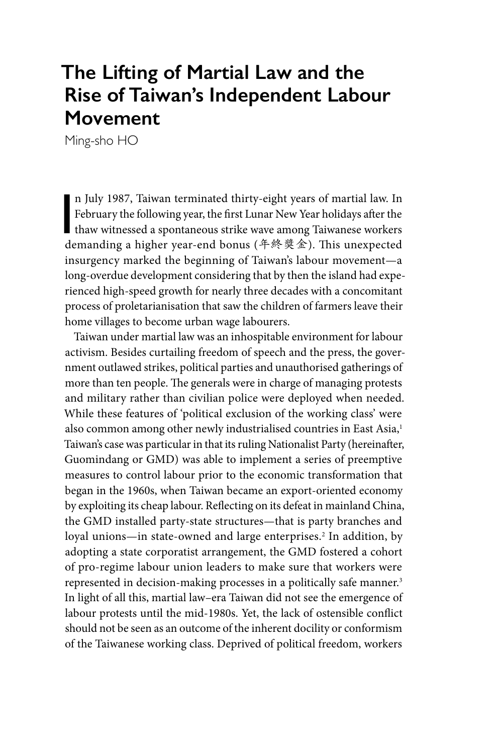## **The Lifting of Martial Law and the Rise of Taiwan's Independent Labour Movement**

Ming-sho HO

n July 1987, Taiwan terminated thirty-eight years of martial law. In<br>February the following year, the first Lunar New Year holidays after the<br>thaw witnessed a spontaneous strike wave among Taiwanese workers<br>demanding a hi n July 1987, Taiwan terminated thirty-eight years of martial law. In February the following year, the first Lunar New Year holidays after the demanding a higher year-end bonus (年終獎金). This unexpected insurgency marked the beginning of Taiwan's labour movement—a long-overdue development considering that by then the island had experienced high-speed growth for nearly three decades with a concomitant process of proletarianisation that saw the children of farmers leave their home villages to become urban wage labourers.

Taiwan under martial law was an inhospitable environment for labour activism. Besides curtailing freedom of speech and the press, the government outlawed strikes, political parties and unauthorised gatherings of more than ten people. The generals were in charge of managing protests and military rather than civilian police were deployed when needed. While these features of 'political exclusion of the working class' were also common among other newly industrialised countries in East Asia,<sup>1</sup> Taiwan's case was particular in that its ruling Nationalist Party (hereinafter, Guomindang or GMD) was able to implement a series of preemptive measures to control labour prior to the economic transformation that began in the 1960s, when Taiwan became an export-oriented economy by exploiting its cheap labour. Reflecting on its defeat in mainland China, the GMD installed party-state structures—that is party branches and loyal unions—in state-owned and large enterprises.<sup>2</sup> In addition, by adopting a state corporatist arrangement, the GMD fostered a cohort of pro-regime labour union leaders to make sure that workers were represented in decision-making processes in a politically safe manner.<sup>3</sup> In light of all this, martial law–era Taiwan did not see the emergence of labour protests until the mid-1980s. Yet, the lack of ostensible conflict should not be seen as an outcome of the inherent docility or conformism of the Taiwanese working class. Deprived of political freedom, workers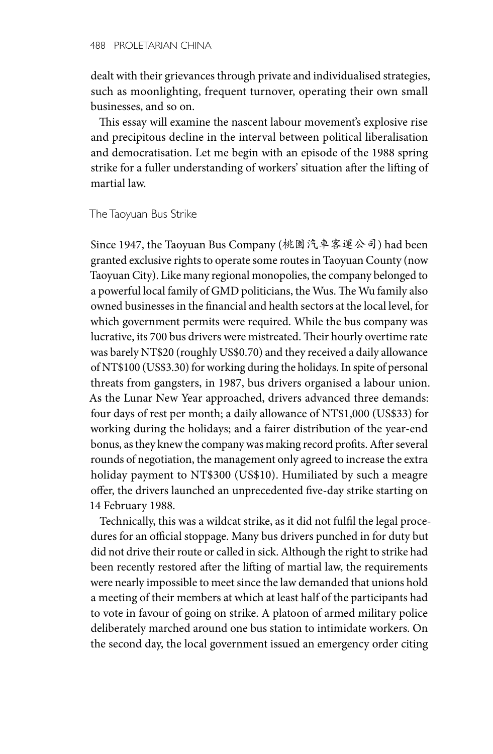dealt with their grievances through private and individualised strategies, such as moonlighting, frequent turnover, operating their own small businesses, and so on.

This essay will examine the nascent labour movement's explosive rise and precipitous decline in the interval between political liberalisation and democratisation. Let me begin with an episode of the 1988 spring strike for a fuller understanding of workers' situation after the lifting of martial law.

The Taoyuan Bus Strike

Since 1947, the Taoyuan Bus Company (桃園汽車客運公司) had been granted exclusive rights to operate some routes in Taoyuan County (now Taoyuan City). Like many regional monopolies, the company belonged to a powerful local family of GMD politicians, the Wus. The Wu family also owned businesses in the financial and health sectors at the local level, for which government permits were required. While the bus company was lucrative, its 700 bus drivers were mistreated. Their hourly overtime rate was barely NT\$20 (roughly US\$0.70) and they received a daily allowance of NT\$100 (US\$3.30) for working during the holidays. In spite of personal threats from gangsters, in 1987, bus drivers organised a labour union. As the Lunar New Year approached, drivers advanced three demands: four days of rest per month; a daily allowance of NT\$1,000 (US\$33) for working during the holidays; and a fairer distribution of the year-end bonus, as they knew the company was making record profits. After several rounds of negotiation, the management only agreed to increase the extra holiday payment to NT\$300 (US\$10). Humiliated by such a meagre offer, the drivers launched an unprecedented five-day strike starting on 14 February 1988.

Technically, this was a wildcat strike, as it did not fulfil the legal procedures for an official stoppage. Many bus drivers punched in for duty but did not drive their route or called in sick. Although the right to strike had been recently restored after the lifting of martial law, the requirements were nearly impossible to meet since the law demanded that unions hold a meeting of their members at which at least half of the participants had to vote in favour of going on strike. A platoon of armed military police deliberately marched around one bus station to intimidate workers. On the second day, the local government issued an emergency order citing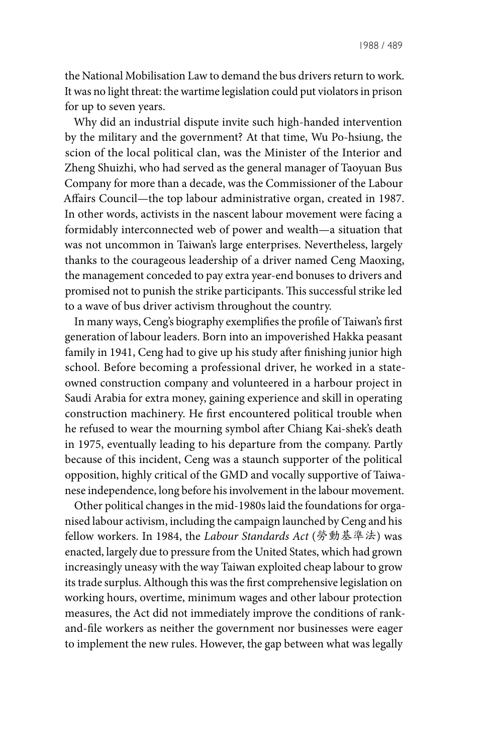the National Mobilisation Law to demand the bus drivers return to work. It was no light threat: the wartime legislation could put violators in prison for up to seven years.

Why did an industrial dispute invite such high-handed intervention by the military and the government? At that time, Wu Po-hsiung, the scion of the local political clan, was the Minister of the Interior and Zheng Shuizhi, who had served as the general manager of Taoyuan Bus Company for more than a decade, was the Commissioner of the Labour Affairs Council—the top labour administrative organ, created in 1987. In other words, activists in the nascent labour movement were facing a formidably interconnected web of power and wealth—a situation that was not uncommon in Taiwan's large enterprises. Nevertheless, largely thanks to the courageous leadership of a driver named Ceng Maoxing, the management conceded to pay extra year-end bonuses to drivers and promised not to punish the strike participants. This successful strike led to a wave of bus driver activism throughout the country.

In many ways, Ceng's biography exemplifies the profile of Taiwan's first generation of labour leaders. Born into an impoverished Hakka peasant family in 1941, Ceng had to give up his study after finishing junior high school. Before becoming a professional driver, he worked in a stateowned construction company and volunteered in a harbour project in Saudi Arabia for extra money, gaining experience and skill in operating construction machinery. He first encountered political trouble when he refused to wear the mourning symbol after Chiang Kai-shek's death in 1975, eventually leading to his departure from the company. Partly because of this incident, Ceng was a staunch supporter of the political opposition, highly critical of the GMD and vocally supportive of Taiwanese independence, long before his involvement in the labour movement.

Other political changes in the mid-1980s laid the foundations for organised labour activism, including the campaign launched by Ceng and his fellow workers. In 1984, the *Labour Standards Act* (勞動基準法) was enacted, largely due to pressure from the United States, which had grown increasingly uneasy with the way Taiwan exploited cheap labour to grow its trade surplus. Although this was the first comprehensive legislation on working hours, overtime, minimum wages and other labour protection measures, the Act did not immediately improve the conditions of rankand-file workers as neither the government nor businesses were eager to implement the new rules. However, the gap between what was legally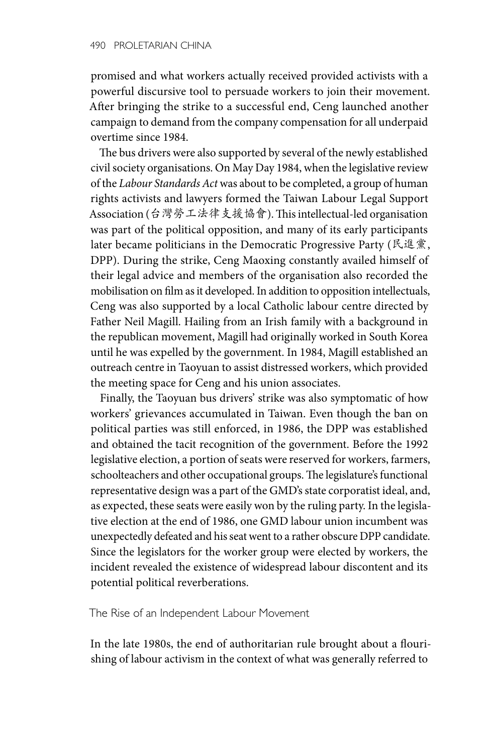promised and what workers actually received provided activists with a powerful discursive tool to persuade workers to join their movement. After bringing the strike to a successful end, Ceng launched another campaign to demand from the company compensation for all underpaid overtime since 1984.

The bus drivers were also supported by several of the newly established civil society organisations. On May Day 1984, when the legislative review of the *Labour Standards Act* was about to be completed, a group of human rights activists and lawyers formed the Taiwan Labour Legal Support Association (台灣勞工法律支援協會). This intellectual-led organisation was part of the political opposition, and many of its early participants later became politicians in the Democratic Progressive Party (民進黨, DPP). During the strike, Ceng Maoxing constantly availed himself of their legal advice and members of the organisation also recorded the mobilisation on film as it developed. In addition to opposition intellectuals, Ceng was also supported by a local Catholic labour centre directed by Father Neil Magill. Hailing from an Irish family with a background in the republican movement, Magill had originally worked in South Korea until he was expelled by the government. In 1984, Magill established an outreach centre in Taoyuan to assist distressed workers, which provided the meeting space for Ceng and his union associates.

Finally, the Taoyuan bus drivers' strike was also symptomatic of how workers' grievances accumulated in Taiwan. Even though the ban on political parties was still enforced, in 1986, the DPP was established and obtained the tacit recognition of the government. Before the 1992 legislative election, a portion of seats were reserved for workers, farmers, schoolteachers and other occupational groups. The legislature's functional representative design was a part of the GMD's state corporatist ideal, and, as expected, these seats were easily won by the ruling party. In the legislative election at the end of 1986, one GMD labour union incumbent was unexpectedly defeated and his seat went to a rather obscure DPP candidate. Since the legislators for the worker group were elected by workers, the incident revealed the existence of widespread labour discontent and its potential political reverberations.

The Rise of an Independent Labour Movement

In the late 1980s, the end of authoritarian rule brought about a flourishing of labour activism in the context of what was generally referred to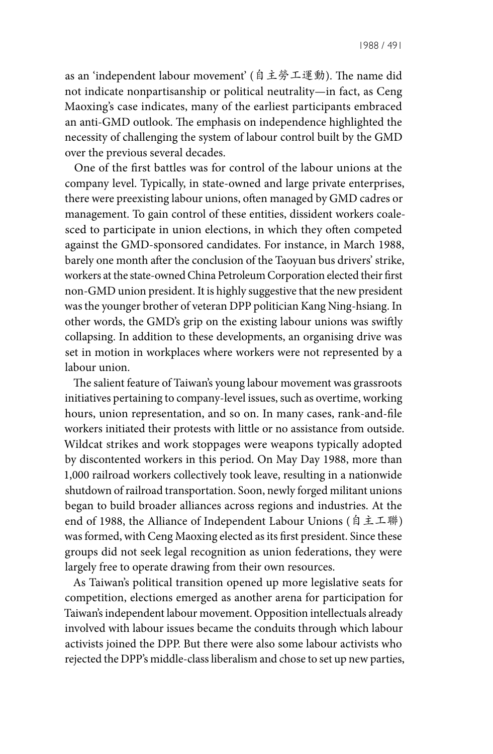as an 'independent labour movement' (自主勞工運動). The name did not indicate nonpartisanship or political neutrality—in fact, as Ceng Maoxing's case indicates, many of the earliest participants embraced an anti-GMD outlook. The emphasis on independence highlighted the necessity of challenging the system of labour control built by the GMD over the previous several decades.

One of the first battles was for control of the labour unions at the company level. Typically, in state-owned and large private enterprises, there were preexisting labour unions, often managed by GMD cadres or management. To gain control of these entities, dissident workers coalesced to participate in union elections, in which they often competed against the GMD-sponsored candidates. For instance, in March 1988, barely one month after the conclusion of the Taoyuan bus drivers' strike, workers at the state-owned China Petroleum Corporation elected their first non-GMD union president. It is highly suggestive that the new president was the younger brother of veteran DPP politician Kang Ning-hsiang. In other words, the GMD's grip on the existing labour unions was swiftly collapsing. In addition to these developments, an organising drive was set in motion in workplaces where workers were not represented by a labour union.

The salient feature of Taiwan's young labour movement was grassroots initiatives pertaining to company-level issues, such as overtime, working hours, union representation, and so on. In many cases, rank-and-file workers initiated their protests with little or no assistance from outside. Wildcat strikes and work stoppages were weapons typically adopted by discontented workers in this period. On May Day 1988, more than 1,000 railroad workers collectively took leave, resulting in a nationwide shutdown of railroad transportation. Soon, newly forged militant unions began to build broader alliances across regions and industries. At the end of 1988, the Alliance of Independent Labour Unions (自主工聯) was formed, with Ceng Maoxing elected as its first president. Since these groups did not seek legal recognition as union federations, they were largely free to operate drawing from their own resources.

As Taiwan's political transition opened up more legislative seats for competition, elections emerged as another arena for participation for Taiwan's independent labour movement. Opposition intellectuals already involved with labour issues became the conduits through which labour activists joined the DPP. But there were also some labour activists who rejected the DPP's middle-class liberalism and chose to set up new parties,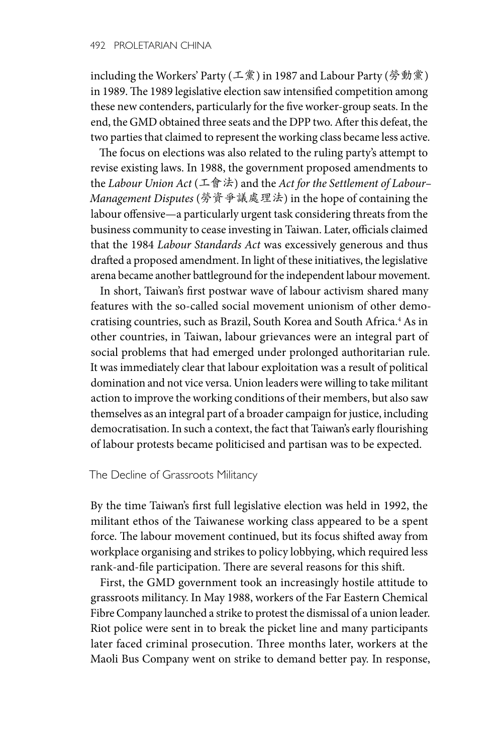including the Workers' Party (工黨) in 1987 and Labour Party (勞動黨) in 1989. The 1989 legislative election saw intensified competition among these new contenders, particularly for the five worker-group seats. In the end, the GMD obtained three seats and the DPP two. After this defeat, the two parties that claimed to represent the working class became less active.

The focus on elections was also related to the ruling party's attempt to revise existing laws. In 1988, the government proposed amendments to the *Labour Union Act* (工會法) and the *Act for the Settlement of Labour– Management Disputes* (勞資爭議處理法) in the hope of containing the labour offensive—a particularly urgent task considering threats from the business community to cease investing in Taiwan. Later, officials claimed that the 1984 *Labour Standards Act* was excessively generous and thus drafted a proposed amendment. In light of these initiatives, the legislative arena became another battleground for the independent labour movement.

In short, Taiwan's first postwar wave of labour activism shared many features with the so-called social movement unionism of other democratising countries, such as Brazil, South Korea and South Africa.<sup>4</sup> As in other countries, in Taiwan, labour grievances were an integral part of social problems that had emerged under prolonged authoritarian rule. It was immediately clear that labour exploitation was a result of political domination and not vice versa. Union leaders were willing to take militant action to improve the working conditions of their members, but also saw themselves as an integral part of a broader campaign for justice, including democratisation. In such a context, the fact that Taiwan's early flourishing of labour protests became politicised and partisan was to be expected.

## The Decline of Grassroots Militancy

By the time Taiwan's first full legislative election was held in 1992, the militant ethos of the Taiwanese working class appeared to be a spent force. The labour movement continued, but its focus shifted away from workplace organising and strikes to policy lobbying, which required less rank-and-file participation. There are several reasons for this shift.

First, the GMD government took an increasingly hostile attitude to grassroots militancy. In May 1988, workers of the Far Eastern Chemical Fibre Company launched a strike to protest the dismissal of a union leader. Riot police were sent in to break the picket line and many participants later faced criminal prosecution. Three months later, workers at the Maoli Bus Company went on strike to demand better pay. In response,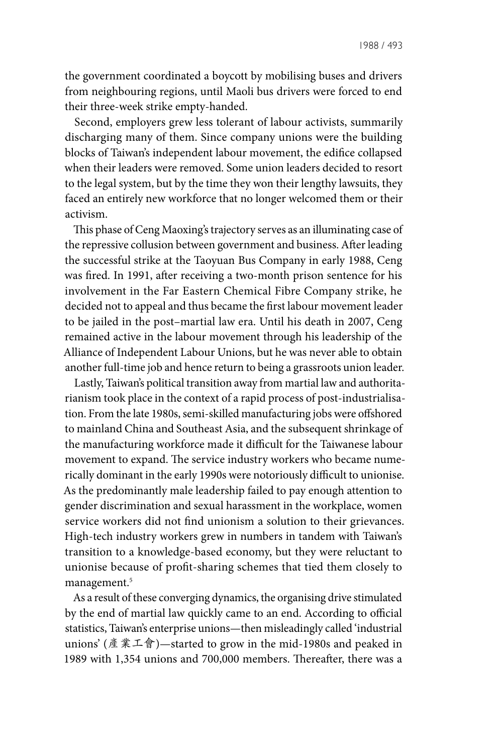the government coordinated a boycott by mobilising buses and drivers from neighbouring regions, until Maoli bus drivers were forced to end their three-week strike empty-handed.

Second, employers grew less tolerant of labour activists, summarily discharging many of them. Since company unions were the building blocks of Taiwan's independent labour movement, the edifice collapsed when their leaders were removed. Some union leaders decided to resort to the legal system, but by the time they won their lengthy lawsuits, they faced an entirely new workforce that no longer welcomed them or their activism.

This phase of Ceng Maoxing's trajectory serves as an illuminating case of the repressive collusion between government and business. After leading the successful strike at the Taoyuan Bus Company in early 1988, Ceng was fired. In 1991, after receiving a two-month prison sentence for his involvement in the Far Eastern Chemical Fibre Company strike, he decided not to appeal and thus became the first labour movement leader to be jailed in the post–martial law era. Until his death in 2007, Ceng remained active in the labour movement through his leadership of the Alliance of Independent Labour Unions, but he was never able to obtain another full-time job and hence return to being a grassroots union leader.

Lastly, Taiwan's political transition away from martial law and authoritarianism took place in the context of a rapid process of post-industrialisation. From the late 1980s, semi-skilled manufacturing jobs were offshored to mainland China and Southeast Asia, and the subsequent shrinkage of the manufacturing workforce made it difficult for the Taiwanese labour movement to expand. The service industry workers who became numerically dominant in the early 1990s were notoriously difficult to unionise. As the predominantly male leadership failed to pay enough attention to gender discrimination and sexual harassment in the workplace, women service workers did not find unionism a solution to their grievances. High-tech industry workers grew in numbers in tandem with Taiwan's transition to a knowledge-based economy, but they were reluctant to unionise because of profit-sharing schemes that tied them closely to management.<sup>5</sup>

As a result of these converging dynamics, the organising drive stimulated by the end of martial law quickly came to an end. According to official statistics, Taiwan's enterprise unions—then misleadingly called 'industrial unions' (產業工會)—started to grow in the mid-1980s and peaked in 1989 with 1,354 unions and 700,000 members. Thereafter, there was a